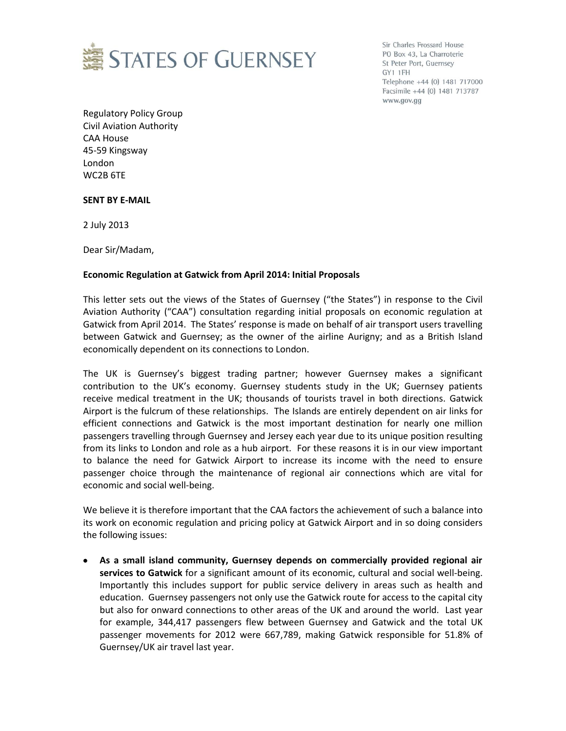

Sir Charles Frossard House PO Box 43, La Charroterie St Peter Port, Guernsey GY1 1FH Telephone +44 (0) 1481 717000 Facsimile +44 (0) 1481 713787 www.gov.gg

Regulatory Policy Group Civil Aviation Authority CAA House 45-59 Kingsway London WC2B 6TE

## **SENT BY E-MAIL**

2 July 2013

Dear Sir/Madam,

## **Economic Regulation at Gatwick from April 2014: Initial Proposals**

This letter sets out the views of the States of Guernsey ("the States") in response to the Civil Aviation Authority ("CAA") consultation regarding initial proposals on economic regulation at Gatwick from April 2014. The States' response is made on behalf of air transport users travelling between Gatwick and Guernsey; as the owner of the airline Aurigny; and as a British Island economically dependent on its connections to London.

The UK is Guernsey's biggest trading partner; however Guernsey makes a significant contribution to the UK's economy. Guernsey students study in the UK; Guernsey patients receive medical treatment in the UK; thousands of tourists travel in both directions. Gatwick Airport is the fulcrum of these relationships. The Islands are entirely dependent on air links for efficient connections and Gatwick is the most important destination for nearly one million passengers travelling through Guernsey and Jersey each year due to its unique position resulting from its links to London and role as a hub airport. For these reasons it is in our view important to balance the need for Gatwick Airport to increase its income with the need to ensure passenger choice through the maintenance of regional air connections which are vital for economic and social well-being.

We believe it is therefore important that the CAA factors the achievement of such a balance into its work on economic regulation and pricing policy at Gatwick Airport and in so doing considers the following issues:

**As a small island community, Guernsey depends on commercially provided regional air services to Gatwick** for a significant amount of its economic, cultural and social well-being. Importantly this includes support for public service delivery in areas such as health and education. Guernsey passengers not only use the Gatwick route for access to the capital city but also for onward connections to other areas of the UK and around the world. Last year for example, 344,417 passengers flew between Guernsey and Gatwick and the total UK passenger movements for 2012 were 667,789, making Gatwick responsible for 51.8% of Guernsey/UK air travel last year.